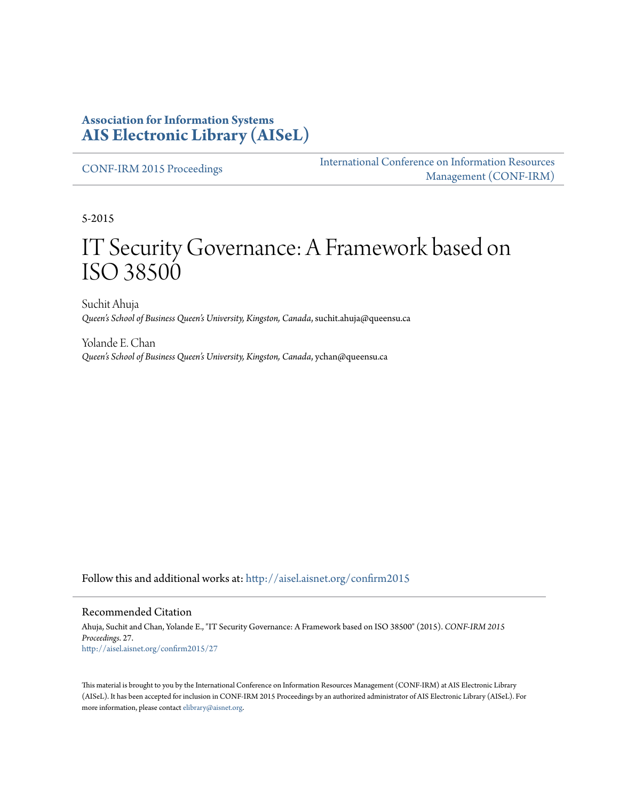#### **Association for Information Systems [AIS Electronic Library \(AISeL\)](http://aisel.aisnet.org?utm_source=aisel.aisnet.org%2Fconfirm2015%2F27&utm_medium=PDF&utm_campaign=PDFCoverPages)**

[CONF-IRM 2015 Proceedings](http://aisel.aisnet.org/confirm2015?utm_source=aisel.aisnet.org%2Fconfirm2015%2F27&utm_medium=PDF&utm_campaign=PDFCoverPages)

[International Conference on Information Resources](http://aisel.aisnet.org/conf-irm?utm_source=aisel.aisnet.org%2Fconfirm2015%2F27&utm_medium=PDF&utm_campaign=PDFCoverPages) [Management \(CONF-IRM\)](http://aisel.aisnet.org/conf-irm?utm_source=aisel.aisnet.org%2Fconfirm2015%2F27&utm_medium=PDF&utm_campaign=PDFCoverPages)

5-2015

# IT Security Governance: A Framework based on ISO 38500

Suchit Ahuja *Queen's School of Business Queen's University, Kingston, Canada*, suchit.ahuja@queensu.ca

Yolande E. Chan *Queen's School of Business Queen's University, Kingston, Canada*, ychan@queensu.ca

Follow this and additional works at: [http://aisel.aisnet.org/confirm2015](http://aisel.aisnet.org/confirm2015?utm_source=aisel.aisnet.org%2Fconfirm2015%2F27&utm_medium=PDF&utm_campaign=PDFCoverPages)

#### Recommended Citation

Ahuja, Suchit and Chan, Yolande E., "IT Security Governance: A Framework based on ISO 38500" (2015). *CONF-IRM 2015 Proceedings*. 27. [http://aisel.aisnet.org/confirm2015/27](http://aisel.aisnet.org/confirm2015/27?utm_source=aisel.aisnet.org%2Fconfirm2015%2F27&utm_medium=PDF&utm_campaign=PDFCoverPages)

This material is brought to you by the International Conference on Information Resources Management (CONF-IRM) at AIS Electronic Library (AISeL). It has been accepted for inclusion in CONF-IRM 2015 Proceedings by an authorized administrator of AIS Electronic Library (AISeL). For more information, please contact [elibrary@aisnet.org.](mailto:elibrary@aisnet.org%3E)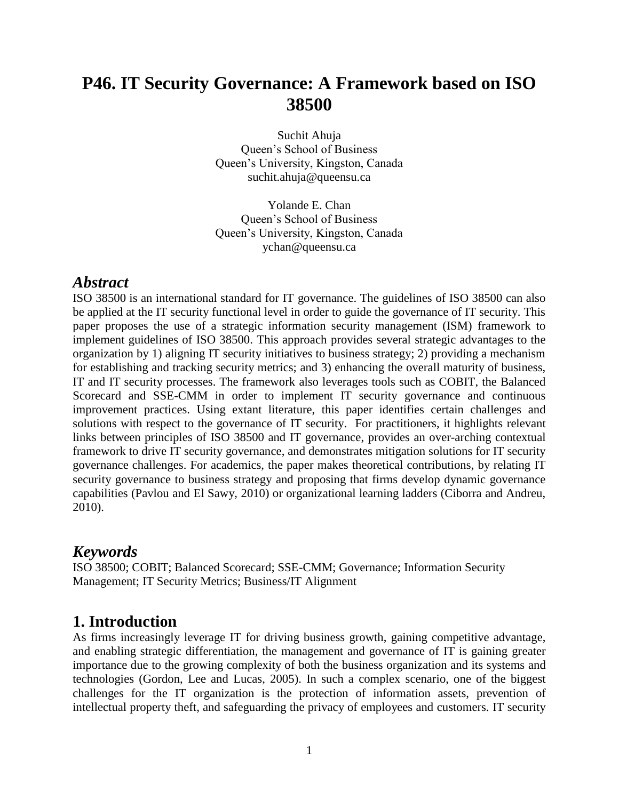## **P46. IT Security Governance: A Framework based on ISO 38500**

Suchit Ahuja Queen's School of Business Queen's University, Kingston, Canada suchit.ahuja@queensu.ca

Yolande E. Chan Queen's School of Business Queen's University, Kingston, Canada ychan@queensu.ca

#### *Abstract*

ISO 38500 is an international standard for IT governance. The guidelines of ISO 38500 can also be applied at the IT security functional level in order to guide the governance of IT security. This paper proposes the use of a strategic information security management (ISM) framework to implement guidelines of ISO 38500. This approach provides several strategic advantages to the organization by 1) aligning IT security initiatives to business strategy; 2) providing a mechanism for establishing and tracking security metrics; and 3) enhancing the overall maturity of business, IT and IT security processes. The framework also leverages tools such as COBIT, the Balanced Scorecard and SSE-CMM in order to implement IT security governance and continuous improvement practices. Using extant literature, this paper identifies certain challenges and solutions with respect to the governance of IT security. For practitioners, it highlights relevant links between principles of ISO 38500 and IT governance, provides an over-arching contextual framework to drive IT security governance, and demonstrates mitigation solutions for IT security governance challenges. For academics, the paper makes theoretical contributions, by relating IT security governance to business strategy and proposing that firms develop dynamic governance capabilities (Pavlou and El Sawy, 2010) or organizational learning ladders (Ciborra and Andreu, 2010).

#### *Keywords*

ISO 38500; COBIT; Balanced Scorecard; SSE-CMM; Governance; Information Security Management; IT Security Metrics; Business/IT Alignment

### **1. Introduction**

As firms increasingly leverage IT for driving business growth, gaining competitive advantage, and enabling strategic differentiation, the management and governance of IT is gaining greater importance due to the growing complexity of both the business organization and its systems and technologies (Gordon, Lee and Lucas, 2005). In such a complex scenario, one of the biggest challenges for the IT organization is the protection of information assets, prevention of intellectual property theft, and safeguarding the privacy of employees and customers. IT security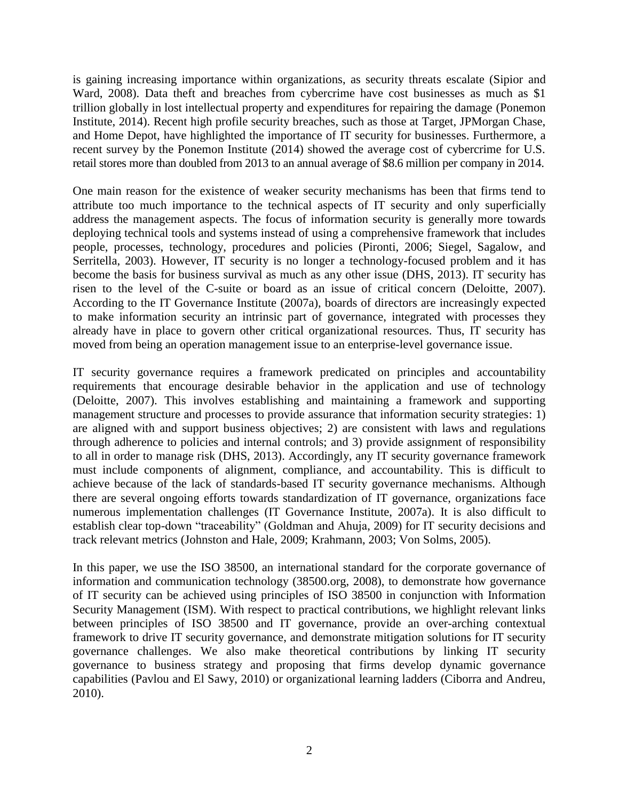is gaining increasing importance within organizations, as security threats escalate (Sipior and Ward, 2008). Data theft and breaches from cybercrime have cost businesses as much as \$1 trillion globally in lost intellectual property and expenditures for repairing the damage (Ponemon Institute, 2014). Recent high profile security breaches, such as those at Target, JPMorgan Chase, and Home Depot, have highlighted the importance of IT security for businesses. Furthermore, a recent survey by the Ponemon Institute (2014) showed the average cost of cybercrime for U.S. retail stores more than doubled from 2013 to an annual average of \$8.6 million per company in 2014.

One main reason for the existence of weaker security mechanisms has been that firms tend to attribute too much importance to the technical aspects of IT security and only superficially address the management aspects. The focus of information security is generally more towards deploying technical tools and systems instead of using a comprehensive framework that includes people, processes, technology, procedures and policies (Pironti, 2006; Siegel, Sagalow, and Serritella, 2003). However, IT security is no longer a technology-focused problem and it has become the basis for business survival as much as any other issue (DHS, 2013). IT security has risen to the level of the C-suite or board as an issue of critical concern (Deloitte, 2007). According to the IT Governance Institute (2007a), boards of directors are increasingly expected to make information security an intrinsic part of governance, integrated with processes they already have in place to govern other critical organizational resources. Thus, IT security has moved from being an operation management issue to an enterprise-level governance issue.

IT security governance requires a framework predicated on principles and accountability requirements that encourage desirable behavior in the application and use of technology (Deloitte, 2007). This involves establishing and maintaining a framework and supporting management structure and processes to provide assurance that information security strategies: 1) are aligned with and support business objectives; 2) are consistent with laws and regulations through adherence to policies and internal controls; and 3) provide assignment of responsibility to all in order to manage risk (DHS, 2013). Accordingly, any IT security governance framework must include components of alignment, compliance, and accountability. This is difficult to achieve because of the lack of standards-based IT security governance mechanisms. Although there are several ongoing efforts towards standardization of IT governance, organizations face numerous implementation challenges (IT Governance Institute, 2007a). It is also difficult to establish clear top-down "traceability" (Goldman and Ahuja, 2009) for IT security decisions and track relevant metrics (Johnston and Hale, 2009; Krahmann, 2003; Von Solms, 2005).

In this paper, we use the ISO 38500, an international standard for the corporate governance of information and communication technology (38500.org, 2008), to demonstrate how governance of IT security can be achieved using principles of ISO 38500 in conjunction with Information Security Management (ISM). With respect to practical contributions, we highlight relevant links between principles of ISO 38500 and IT governance, provide an over-arching contextual framework to drive IT security governance, and demonstrate mitigation solutions for IT security governance challenges. We also make theoretical contributions by linking IT security governance to business strategy and proposing that firms develop dynamic governance capabilities (Pavlou and El Sawy, 2010) or organizational learning ladders (Ciborra and Andreu, 2010).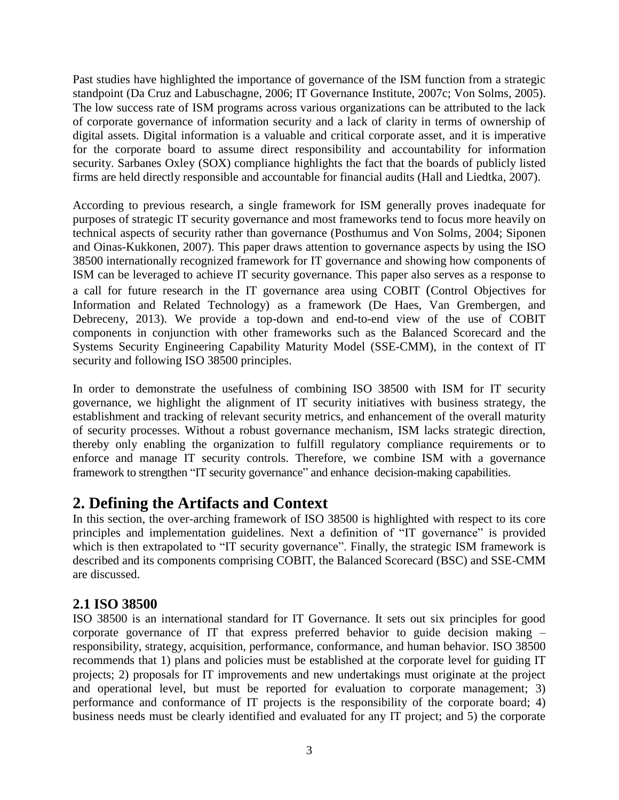Past studies have highlighted the importance of governance of the ISM function from a strategic standpoint (Da Cruz and Labuschagne, 2006; IT Governance Institute, 2007c; Von Solms, 2005). The low success rate of ISM programs across various organizations can be attributed to the lack of corporate governance of information security and a lack of clarity in terms of ownership of digital assets. Digital information is a valuable and critical corporate asset, and it is imperative for the corporate board to assume direct responsibility and accountability for information security. Sarbanes Oxley (SOX) compliance highlights the fact that the boards of publicly listed firms are held directly responsible and accountable for financial audits (Hall and Liedtka, 2007).

According to previous research, a single framework for ISM generally proves inadequate for purposes of strategic IT security governance and most frameworks tend to focus more heavily on technical aspects of security rather than governance (Posthumus and Von Solms, 2004; Siponen and Oinas-Kukkonen, 2007). This paper draws attention to governance aspects by using the ISO 38500 internationally recognized framework for IT governance and showing how components of ISM can be leveraged to achieve IT security governance. This paper also serves as a response to a call for future research in the IT governance area using COBIT (Control Objectives for Information and Related Technology) as a framework (De Haes, Van Grembergen, and Debreceny, 2013). We provide a top-down and end-to-end view of the use of COBIT components in conjunction with other frameworks such as the Balanced Scorecard and the Systems Security Engineering Capability Maturity Model (SSE-CMM), in the context of IT security and following ISO 38500 principles.

In order to demonstrate the usefulness of combining ISO 38500 with ISM for IT security governance, we highlight the alignment of IT security initiatives with business strategy, the establishment and tracking of relevant security metrics, and enhancement of the overall maturity of security processes. Without a robust governance mechanism, ISM lacks strategic direction, thereby only enabling the organization to fulfill regulatory compliance requirements or to enforce and manage IT security controls. Therefore, we combine ISM with a governance framework to strengthen "IT security governance" and enhance decision-making capabilities.

## **2. Defining the Artifacts and Context**

In this section, the over-arching framework of ISO 38500 is highlighted with respect to its core principles and implementation guidelines. Next a definition of "IT governance" is provided which is then extrapolated to "IT security governance". Finally, the strategic ISM framework is described and its components comprising COBIT, the Balanced Scorecard (BSC) and SSE-CMM are discussed.

#### **2.1 ISO 38500**

ISO 38500 is an international standard for IT Governance. It sets out six principles for good corporate governance of IT that express preferred behavior to guide decision making – responsibility, strategy, acquisition, performance, conformance, and human behavior. ISO 38500 recommends that 1) plans and policies must be established at the corporate level for guiding IT projects; 2) proposals for IT improvements and new undertakings must originate at the project and operational level, but must be reported for evaluation to corporate management; 3) performance and conformance of IT projects is the responsibility of the corporate board; 4) business needs must be clearly identified and evaluated for any IT project; and 5) the corporate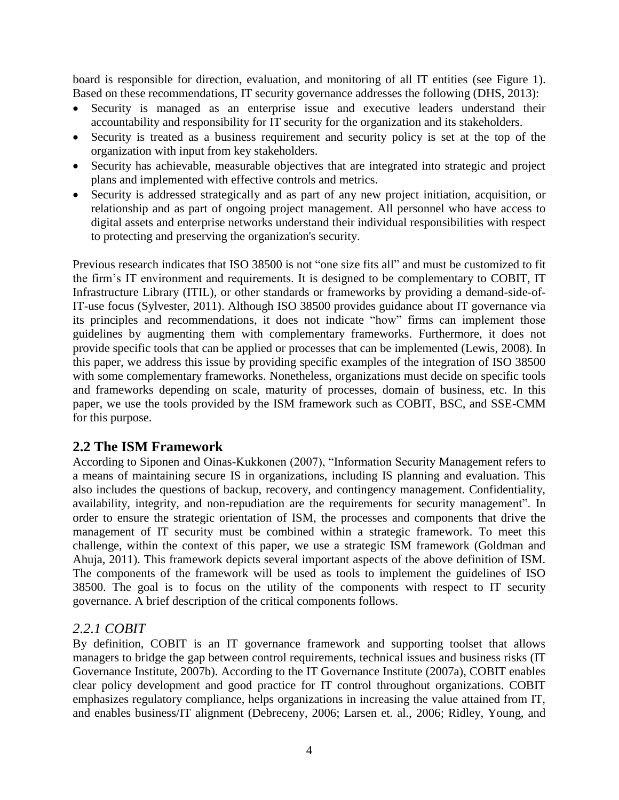board is responsible for direction, evaluation, and monitoring of all IT entities (see Figure 1). Based on these recommendations, IT security governance addresses the following (DHS, 2013):

- Security is managed as an enterprise issue and executive leaders understand their accountability and responsibility for IT security for the organization and its stakeholders.
- Security is treated as a business requirement and security policy is set at the top of the organization with input from key stakeholders.
- Security has achievable, measurable objectives that are integrated into strategic and project plans and implemented with effective controls and metrics.
- Security is addressed strategically and as part of any new project initiation, acquisition, or relationship and as part of ongoing project management. All personnel who have access to digital assets and enterprise networks understand their individual responsibilities with respect to protecting and preserving the organization's security.

Previous research indicates that ISO 38500 is not "one size fits all" and must be customized to fit the firm's IT environment and requirements. It is designed to be complementary to COBIT, IT Infrastructure Library (ITIL), or other standards or frameworks by providing a demand-side-of-IT-use focus (Sylvester, 2011). Although ISO 38500 provides guidance about IT governance via its principles and recommendations, it does not indicate "how" firms can implement those guidelines by augmenting them with complementary frameworks. Furthermore, it does not provide specific tools that can be applied or processes that can be implemented (Lewis, 2008). In this paper, we address this issue by providing specific examples of the integration of ISO 38500 with some complementary frameworks. Nonetheless, organizations must decide on specific tools and frameworks depending on scale, maturity of processes, domain of business, etc. In this paper, we use the tools provided by the ISM framework such as COBIT, BSC, and SSE-CMM for this purpose.

#### **2.2 The ISM Framework**

According to Siponen and Oinas-Kukkonen (2007), "Information Security Management refers to a means of maintaining secure IS in organizations, including IS planning and evaluation. This also includes the questions of backup, recovery, and contingency management. Confidentiality, availability, integrity, and non-repudiation are the requirements for security management". In order to ensure the strategic orientation of ISM, the processes and components that drive the management of IT security must be combined within a strategic framework. To meet this challenge, within the context of this paper, we use a strategic ISM framework (Goldman and Ahuja, 2011). This framework depicts several important aspects of the above definition of ISM. The components of the framework will be used as tools to implement the guidelines of ISO 38500. The goal is to focus on the utility of the components with respect to IT security governance. A brief description of the critical components follows.

#### *2.2.1 COBIT*

By definition, COBIT is an IT governance framework and supporting toolset that allows managers to bridge the gap between control requirements, technical issues and business risks (IT Governance Institute, 2007b). According to the IT Governance Institute (2007a), COBIT enables clear policy development and good practice for IT control throughout organizations. COBIT emphasizes regulatory compliance, helps organizations in increasing the value attained from IT, and enables business/IT alignment (Debreceny, 2006; Larsen et. al., 2006; Ridley, Young, and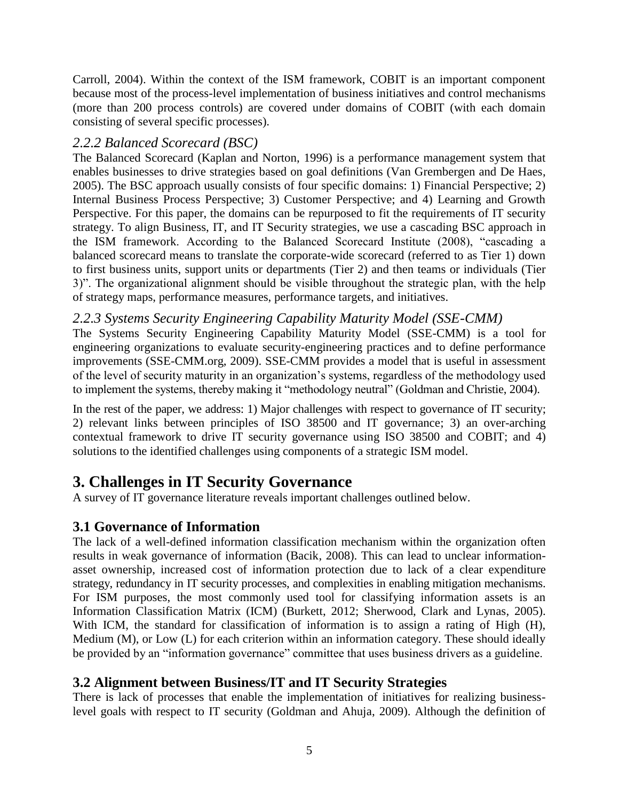Carroll, 2004). Within the context of the ISM framework, COBIT is an important component because most of the process-level implementation of business initiatives and control mechanisms (more than 200 process controls) are covered under domains of COBIT (with each domain consisting of several specific processes).

#### *2.2.2 Balanced Scorecard (BSC)*

The Balanced Scorecard (Kaplan and Norton, 1996) is a performance management system that enables businesses to drive strategies based on goal definitions (Van Grembergen and De Haes, 2005). The BSC approach usually consists of four specific domains: 1) Financial Perspective; 2) Internal Business Process Perspective; 3) Customer Perspective; and 4) Learning and Growth Perspective. For this paper, the domains can be repurposed to fit the requirements of IT security strategy. To align Business, IT, and IT Security strategies, we use a cascading BSC approach in the ISM framework. According to the Balanced Scorecard Institute (2008), "cascading a balanced scorecard means to translate the corporate-wide scorecard (referred to as Tier 1) down to first business units, support units or departments (Tier 2) and then teams or individuals (Tier 3)". The organizational alignment should be visible throughout the strategic plan, with the help of strategy maps, performance measures, performance targets, and initiatives.

### *2.2.3 Systems Security Engineering Capability Maturity Model (SSE-CMM)*

The Systems Security Engineering Capability Maturity Model (SSE-CMM) is a tool for engineering organizations to evaluate security-engineering practices and to define performance improvements (SSE-CMM.org, 2009). SSE-CMM provides a model that is useful in assessment of the level of security maturity in an organization's systems, regardless of the methodology used to implement the systems, thereby making it "methodology neutral" (Goldman and Christie, 2004).

In the rest of the paper, we address: 1) Major challenges with respect to governance of IT security; 2) relevant links between principles of ISO 38500 and IT governance; 3) an over-arching contextual framework to drive IT security governance using ISO 38500 and COBIT; and 4) solutions to the identified challenges using components of a strategic ISM model.

## **3. Challenges in IT Security Governance**

A survey of IT governance literature reveals important challenges outlined below.

### **3.1 Governance of Information**

The lack of a well-defined information classification mechanism within the organization often results in weak governance of information (Bacik, 2008). This can lead to unclear informationasset ownership, increased cost of information protection due to lack of a clear expenditure strategy, redundancy in IT security processes, and complexities in enabling mitigation mechanisms. For ISM purposes, the most commonly used tool for classifying information assets is an Information Classification Matrix (ICM) (Burkett, 2012; Sherwood, Clark and Lynas, 2005). With ICM, the standard for classification of information is to assign a rating of High (H), Medium (M), or Low (L) for each criterion within an information category. These should ideally be provided by an "information governance" committee that uses business drivers as a guideline.

### **3.2 Alignment between Business/IT and IT Security Strategies**

There is lack of processes that enable the implementation of initiatives for realizing businesslevel goals with respect to IT security (Goldman and Ahuja, 2009). Although the definition of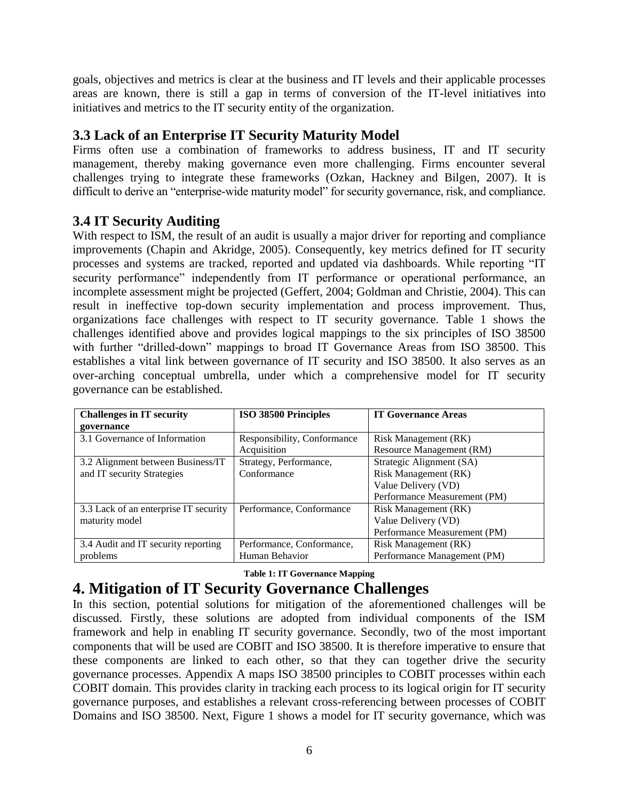goals, objectives and metrics is clear at the business and IT levels and their applicable processes areas are known, there is still a gap in terms of conversion of the IT-level initiatives into initiatives and metrics to the IT security entity of the organization.

### **3.3 Lack of an Enterprise IT Security Maturity Model**

Firms often use a combination of frameworks to address business, IT and IT security management, thereby making governance even more challenging. Firms encounter several challenges trying to integrate these frameworks (Ozkan, Hackney and Bilgen, 2007). It is difficult to derive an "enterprise-wide maturity model" for security governance, risk, and compliance.

### **3.4 IT Security Auditing**

With respect to ISM, the result of an audit is usually a major driver for reporting and compliance improvements (Chapin and Akridge, 2005). Consequently, key metrics defined for IT security processes and systems are tracked, reported and updated via dashboards. While reporting "IT security performance" independently from IT performance or operational performance, an incomplete assessment might be projected (Geffert, 2004; Goldman and Christie, 2004). This can result in ineffective top-down security implementation and process improvement. Thus, organizations face challenges with respect to IT security governance. Table 1 shows the challenges identified above and provides logical mappings to the six principles of ISO 38500 with further "drilled-down" mappings to broad IT Governance Areas from ISO 38500. This establishes a vital link between governance of IT security and ISO 38500. It also serves as an over-arching conceptual umbrella, under which a comprehensive model for IT security governance can be established.

| <b>Challenges in IT security</b>      | ISO 38500 Principles        | <b>IT Governance Areas</b>   |  |
|---------------------------------------|-----------------------------|------------------------------|--|
| governance                            |                             |                              |  |
| 3.1 Governance of Information         | Responsibility, Conformance | Risk Management (RK)         |  |
|                                       | Acquisition                 | Resource Management (RM)     |  |
| 3.2 Alignment between Business/IT     | Strategy, Performance,      | Strategic Alignment (SA)     |  |
| and IT security Strategies            | Conformance                 | Risk Management (RK)         |  |
|                                       |                             | Value Delivery (VD)          |  |
|                                       |                             | Performance Measurement (PM) |  |
| 3.3 Lack of an enterprise IT security | Performance, Conformance    | Risk Management (RK)         |  |
| maturity model                        |                             | Value Delivery (VD)          |  |
|                                       |                             | Performance Measurement (PM) |  |
| 3.4 Audit and IT security reporting   | Performance, Conformance,   | Risk Management (RK)         |  |
| problems                              | Human Behavior              | Performance Management (PM)  |  |

#### **Table 1: IT Governance Mapping**

## **4. Mitigation of IT Security Governance Challenges**

In this section, potential solutions for mitigation of the aforementioned challenges will be discussed. Firstly, these solutions are adopted from individual components of the ISM framework and help in enabling IT security governance. Secondly, two of the most important components that will be used are COBIT and ISO 38500. It is therefore imperative to ensure that these components are linked to each other, so that they can together drive the security governance processes. Appendix A maps ISO 38500 principles to COBIT processes within each COBIT domain. This provides clarity in tracking each process to its logical origin for IT security governance purposes, and establishes a relevant cross-referencing between processes of COBIT Domains and ISO 38500. Next, Figure 1 shows a model for IT security governance, which was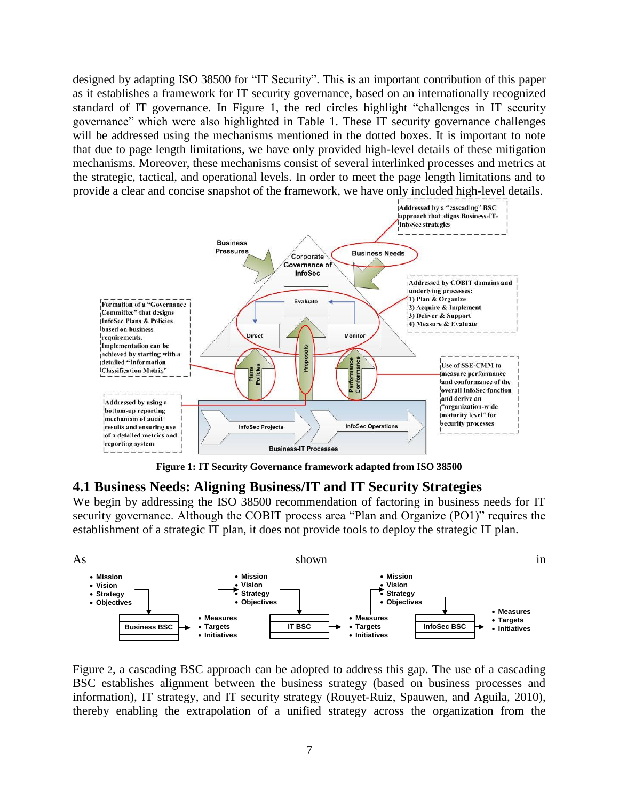designed by adapting ISO 38500 for "IT Security". This is an important contribution of this paper as it establishes a framework for IT security governance, based on an internationally recognized standard of IT governance. In Figure 1, the red circles highlight "challenges in IT security governance" which were also highlighted in Table 1. These IT security governance challenges will be addressed using the mechanisms mentioned in the dotted boxes. It is important to note that due to page length limitations, we have only provided high-level details of these mitigation mechanisms. Moreover, these mechanisms consist of several interlinked processes and metrics at the strategic, tactical, and operational levels. In order to meet the page length limitations and to provide a clear and concise snapshot of the framework, we have only included high-level details.



**Figure 1: IT Security Governance framework adapted from ISO 38500**

#### **4.1 Business Needs: Aligning Business/IT and IT Security Strategies**

We begin by addressing the ISO 38500 recommendation of factoring in business needs for IT security governance. Although the COBIT process area "Plan and Organize (PO1)" requires the establishment of a strategic IT plan, it does not provide tools to deploy the strategic IT plan.



[Figure](#page-8-0) 2, a cascading BSC approach can be adopted to address this gap. The use of a cascading BSC establishes alignment between the business strategy (based on business processes and information), IT strategy, and IT security strategy (Rouyet-Ruiz, Spauwen, and Aguila, 2010), thereby enabling the extrapolation of a unified strategy across the organization from the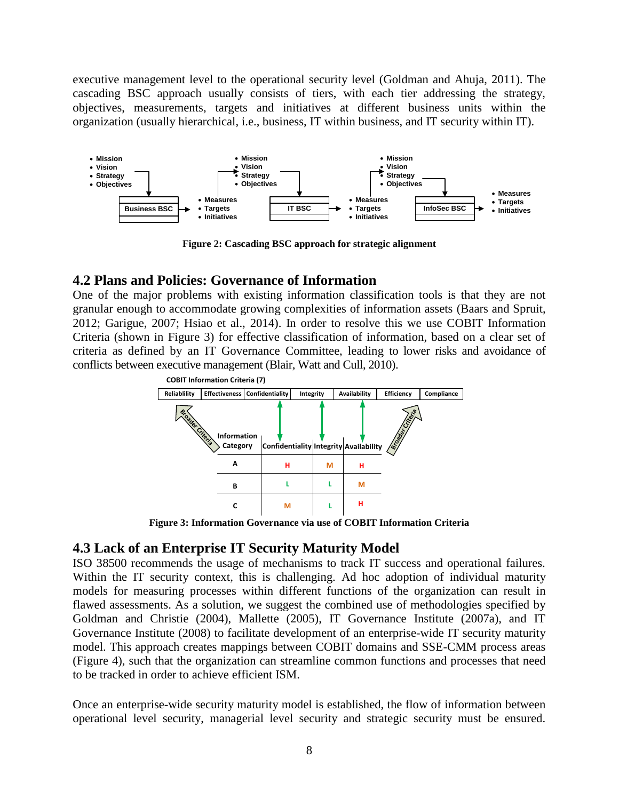executive management level to the operational security level (Goldman and Ahuja, 2011). The cascading BSC approach usually consists of tiers, with each tier addressing the strategy, objectives, measurements, targets and initiatives at different business units within the organization (usually hierarchical, i.e., business, IT within business, and IT security within IT).

<span id="page-8-0"></span>

**Figure 2: Cascading BSC approach for strategic alignment**

#### **4.2 Plans and Policies: Governance of Information**

One of the major problems with existing information classification tools is that they are not granular enough to accommodate growing complexities of information assets (Baars and Spruit, 2012; Garigue, 2007; Hsiao et al., 2014). In order to resolve this we use COBIT Information Criteria (shown in Figure 3) for effective classification of information, based on a clear set of criteria as defined by an IT Governance Committee, leading to lower risks and avoidance of conflicts between executive management (Blair, Watt and Cull, 2010).



**Figure 3: Information Governance via use of COBIT Information Criteria**

#### **4.3 Lack of an Enterprise IT Security Maturity Model**

ISO 38500 recommends the usage of mechanisms to track IT success and operational failures. Within the IT security context, this is challenging. Ad hoc adoption of individual maturity models for measuring processes within different functions of the organization can result in flawed assessments. As a solution, we suggest the combined use of methodologies specified by Goldman and Christie (2004), Mallette (2005), IT Governance Institute (2007a), and IT Governance Institute (2008) to facilitate development of an enterprise-wide IT security maturity model. This approach creates mappings between COBIT domains and SSE-CMM process areas [\(Figure 4\)](#page-9-0), such that the organization can streamline common functions and processes that need to be tracked in order to achieve efficient ISM.

Once an enterprise-wide security maturity model is established, the flow of information between operational level security, managerial level security and strategic security must be ensured.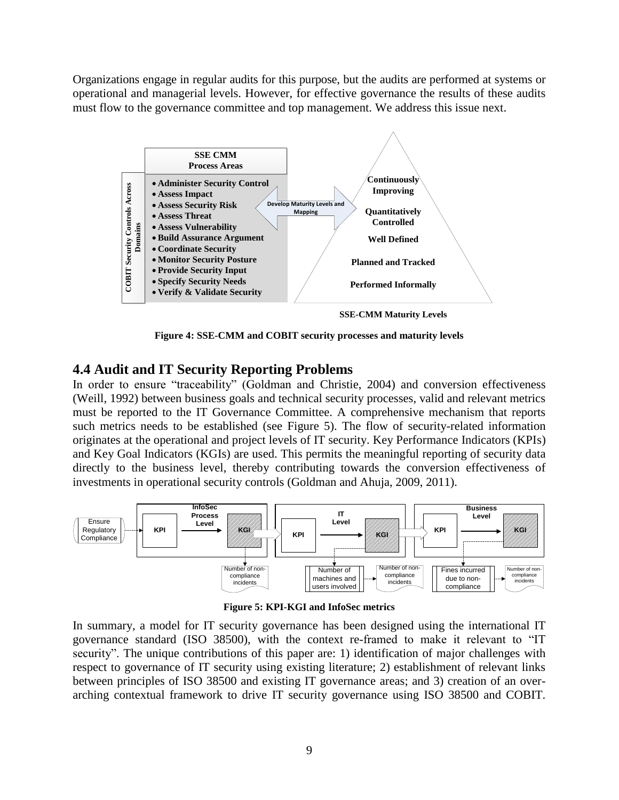Organizations engage in regular audits for this purpose, but the audits are performed at systems or operational and managerial levels. However, for effective governance the results of these audits must flow to the governance committee and top management. We address this issue next.



**Figure 4: SSE-CMM and COBIT security processes and maturity levels**

#### <span id="page-9-0"></span>**4.4 Audit and IT Security Reporting Problems**

In order to ensure "traceability" (Goldman and Christie, 2004) and conversion effectiveness (Weill, 1992) between business goals and technical security processes, valid and relevant metrics must be reported to the IT Governance Committee. A comprehensive mechanism that reports such metrics needs to be established (see Figure 5). The flow of security-related information originates at the operational and project levels of IT security. Key Performance Indicators (KPIs) and Key Goal Indicators (KGIs) are used. This permits the meaningful reporting of security data directly to the business level, thereby contributing towards the conversion effectiveness of investments in operational security controls (Goldman and Ahuja, 2009, 2011).



**Figure 5: KPI-KGI and InfoSec metrics**

In summary, a model for IT security governance has been designed using the international IT governance standard (ISO 38500), with the context re-framed to make it relevant to "IT security". The unique contributions of this paper are: 1) identification of major challenges with respect to governance of IT security using existing literature; 2) establishment of relevant links between principles of ISO 38500 and existing IT governance areas; and 3) creation of an overarching contextual framework to drive IT security governance using ISO 38500 and COBIT.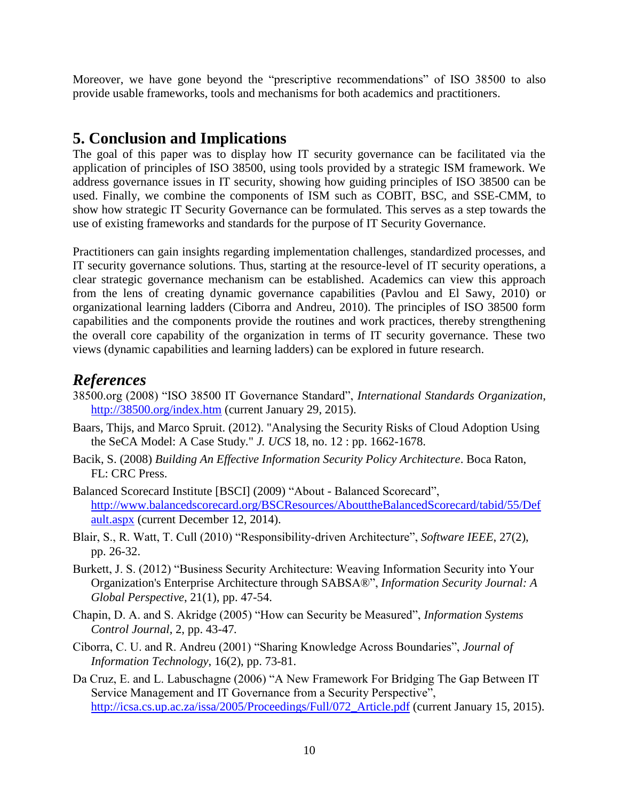Moreover, we have gone beyond the "prescriptive recommendations" of ISO 38500 to also provide usable frameworks, tools and mechanisms for both academics and practitioners.

## **5. Conclusion and Implications**

The goal of this paper was to display how IT security governance can be facilitated via the application of principles of ISO 38500, using tools provided by a strategic ISM framework. We address governance issues in IT security, showing how guiding principles of ISO 38500 can be used. Finally, we combine the components of ISM such as COBIT, BSC, and SSE-CMM, to show how strategic IT Security Governance can be formulated. This serves as a step towards the use of existing frameworks and standards for the purpose of IT Security Governance.

Practitioners can gain insights regarding implementation challenges, standardized processes, and IT security governance solutions. Thus, starting at the resource-level of IT security operations, a clear strategic governance mechanism can be established. Academics can view this approach from the lens of creating dynamic governance capabilities (Pavlou and El Sawy, 2010) or organizational learning ladders (Ciborra and Andreu, 2010). The principles of ISO 38500 form capabilities and the components provide the routines and work practices, thereby strengthening the overall core capability of the organization in terms of IT security governance. These two views (dynamic capabilities and learning ladders) can be explored in future research.

## *References*

- 38500.org (2008) "ISO 38500 IT Governance Standard", *International Standards Organization*, <http://38500.org/index.htm> (current January 29, 2015).
- Baars, Thijs, and Marco Spruit. (2012). "Analysing the Security Risks of Cloud Adoption Using the SeCA Model: A Case Study." *J. UCS* 18, no. 12 : pp. 1662-1678.
- Bacik, S. (2008) *Building An Effective Information Security Policy Architecture*. Boca Raton, FL: CRC Press.
- Balanced Scorecard Institute [BSCI] (2009) "About Balanced Scorecard", [http://www.balancedscorecard.org/BSCResources/AbouttheBalancedScorecard/tabid/55/Def](http://www.balancedscorecard.org/BSCResources/AbouttheBalancedScorecard/tabid/55/Default.aspx) [ault.aspx](http://www.balancedscorecard.org/BSCResources/AbouttheBalancedScorecard/tabid/55/Default.aspx) (current December 12, 2014).
- Blair, S., R. Watt, T. Cull (2010) "Responsibility-driven Architecture", *Software IEEE*, 27(2), pp. 26-32.
- Burkett, J. S. (2012) "Business Security Architecture: Weaving Information Security into Your Organization's Enterprise Architecture through SABSA®", *Information Security Journal: A Global Perspective*, 21(1), pp. 47-54.
- Chapin, D. A. and S. Akridge (2005) "How can Security be Measured", *Information Systems Control Journal*, 2, pp. 43-47*.*
- Ciborra, C. U. and R. Andreu (2001) "Sharing Knowledge Across Boundaries", *Journal of Information Technology*, 16(2), pp. 73-81.
- Da Cruz, E. and L. Labuschagne (2006) "A New Framework For Bridging The Gap Between IT Service Management and IT Governance from a Security Perspective", [http://icsa.cs.up.ac.za/issa/2005/Proceedings/Full/072\\_Article.pdf](http://icsa.cs.up.ac.za/issa/2005/Proceedings/Full/072_Article.pdf) (current January 15, 2015).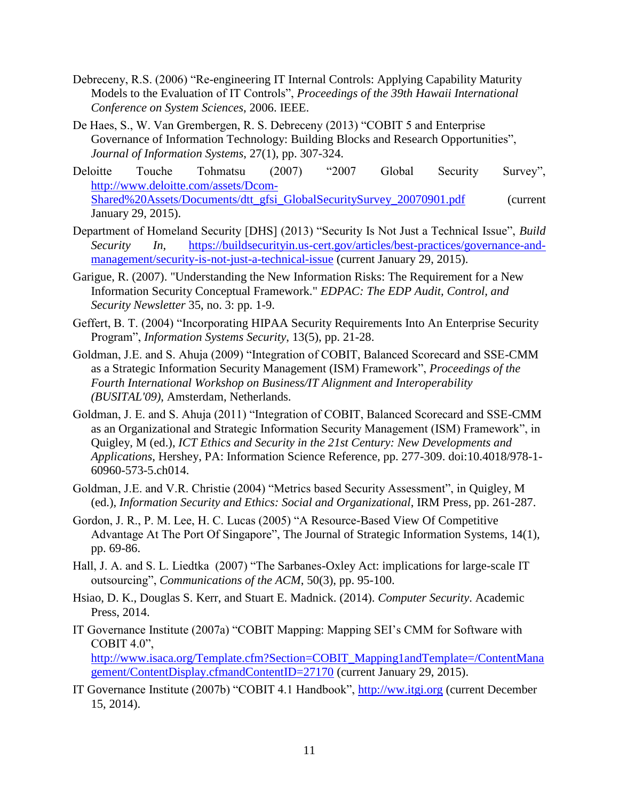- Debreceny, R.S. (2006) "Re-engineering IT Internal Controls: Applying Capability Maturity Models to the Evaluation of IT Controls", *Proceedings of the 39th Hawaii International Conference on System Sciences*, 2006. IEEE.
- De Haes, S., W. Van Grembergen, R. S. Debreceny (2013) "COBIT 5 and Enterprise Governance of Information Technology: Building Blocks and Research Opportunities", *Journal of Information Systems*, 27(1), pp. 307-324.
- Deloitte Touche Tohmatsu (2007) "2007 Global Security Survey", [http://www.deloitte.com/assets/Dcom-](http://www.deloitte.com/assets/Dcom-Shared%20Assets/Documents/dtt_gfsi_GlobalSecuritySurvey_20070901.pdf)[Shared%20Assets/Documents/dtt\\_gfsi\\_GlobalSecuritySurvey\\_20070901.pdf](http://www.deloitte.com/assets/Dcom-Shared%20Assets/Documents/dtt_gfsi_GlobalSecuritySurvey_20070901.pdf) (current January 29, 2015).
- Department of Homeland Security [DHS] (2013) "Security Is Not Just a Technical Issue", *Build Security In*, [https://buildsecurityin.us-cert.gov/articles/best-practices/governance-and](https://buildsecurityin.us-cert.gov/articles/best-practices/governance-and-management/security-is-not-just-a-technical-issue)[management/security-is-not-just-a-technical-issue](https://buildsecurityin.us-cert.gov/articles/best-practices/governance-and-management/security-is-not-just-a-technical-issue) (current January 29, 2015).
- Garigue, R. (2007). "Understanding the New Information Risks: The Requirement for a New Information Security Conceptual Framework." *EDPAC: The EDP Audit, Control, and Security Newsletter* 35, no. 3: pp. 1-9.
- Geffert, B. T. (2004) "Incorporating HIPAA Security Requirements Into An Enterprise Security Program", *Information Systems Security*, 13(5), pp. 21-28.
- Goldman, J.E. and S. Ahuja (2009) "Integration of COBIT, Balanced Scorecard and SSE-CMM as a Strategic Information Security Management (ISM) Framework", *Proceedings of the Fourth International Workshop on Business/IT Alignment and Interoperability (BUSITAL'09)*, Amsterdam, Netherlands.
- Goldman, J. E. and S. Ahuja (2011) "Integration of COBIT, Balanced Scorecard and SSE-CMM as an Organizational and Strategic Information Security Management (ISM) Framework", in Quigley, M (ed.), *ICT Ethics and Security in the 21st Century: New Developments and Applications*, Hershey, PA: Information Science Reference, pp. 277-309. doi:10.4018/978-1- 60960-573-5.ch014.
- Goldman, J.E. and V.R. Christie (2004) "Metrics based Security Assessment", in Quigley, M (ed.), *Information Security and Ethics: Social and Organizational*, IRM Press, pp. 261-287.
- Gordon, J. R., P. M. Lee, H. C. Lucas (2005) "A Resource-Based View Of Competitive Advantage At The Port Of Singapore", The Journal of Strategic Information Systems, 14(1), pp. 69-86.
- Hall, J. A. and S. L. Liedtka (2007) "The Sarbanes-Oxley Act: implications for large-scale IT outsourcing", *Communications of the ACM*, 50(3), pp. 95-100.
- Hsiao, D. K., Douglas S. Kerr, and Stuart E. Madnick. (2014). *Computer Security*. Academic Press, 2014.
- IT Governance Institute (2007a) "COBIT Mapping: Mapping SEI's CMM for Software with COBIT 4.0", [http://www.isaca.org/Template.cfm?Section=COBIT\\_Mapping1andTemplate=/ContentMana](http://www.isaca.org/Template.cfm?Section=COBIT_Mapping1andTemplate=/ContentManagement/ContentDisplay.cfmandContentID=27170) [gement/ContentDisplay.cfmandContentID=27170](http://www.isaca.org/Template.cfm?Section=COBIT_Mapping1andTemplate=/ContentManagement/ContentDisplay.cfmandContentID=27170) (current January 29, 2015).
- IT Governance Institute (2007b) "COBIT 4.1 Handbook", [http://ww.itgi.org](http://ww.itgi.org/) (current December 15, 2014).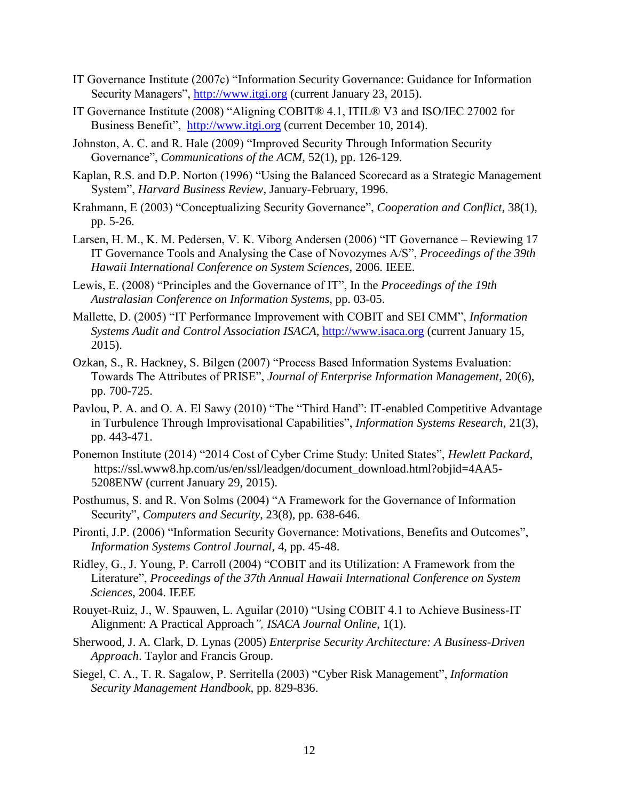- IT Governance Institute (2007c) "Information Security Governance: Guidance for Information Security Managers", [http://www.itgi.org](http://www.itgi.org/) (current January 23, 2015).
- IT Governance Institute (2008) "Aligning COBIT® 4.1, ITIL® V3 and ISO/IEC 27002 for Business Benefit", [http://www.itgi.org](http://www.itgi.org/) (current December 10, 2014).
- Johnston, A. C. and R. Hale (2009) "Improved Security Through Information Security Governance", *Communications of the ACM*, 52(1), pp. 126-129.
- Kaplan, R.S. and D.P. Norton (1996) "Using the Balanced Scorecard as a Strategic Management System", *Harvard Business Review*, January-February, 1996.
- Krahmann, E (2003) "Conceptualizing Security Governance", *Cooperation and Conflict*, 38(1), pp. 5-26.
- Larsen, H. M., K. M. Pedersen, V. K. Viborg Andersen (2006) "IT Governance Reviewing 17 IT Governance Tools and Analysing the Case of Novozymes A/S", *Proceedings of the 39th Hawaii International Conference on System Sciences*, 2006. IEEE.
- Lewis, E. (2008) "Principles and the Governance of IT", In the *Proceedings of the 19th Australasian Conference on Information Systems*, pp. 03-05.
- Mallette, D. (2005) "IT Performance Improvement with COBIT and SEI CMM", *Information Systems Audit and Control Association ISACA,* [http://www.isaca.org](http://www.isaca.org/) (current January 15, 2015).
- Ozkan, S., R. Hackney, S. Bilgen (2007) "Process Based Information Systems Evaluation: Towards The Attributes of PRISE", *Journal of Enterprise Information Management,* 20(6), pp. 700-725.
- Pavlou, P. A. and O. A. El Sawy (2010) "The "Third Hand": IT-enabled Competitive Advantage in Turbulence Through Improvisational Capabilities", *Information Systems Research*, 21(3), pp. 443-471.
- Ponemon Institute (2014) "2014 Cost of Cyber Crime Study: United States", *Hewlett Packard*, [https://ssl.www8.hp.com/us/en/ssl/leadgen/document\\_download.html?objid=4AA5-](https://ssl.www8.hp.com/us/en/ssl/leadgen/document_download.html?objid=4AA5-5208ENW) [5208ENW](https://ssl.www8.hp.com/us/en/ssl/leadgen/document_download.html?objid=4AA5-5208ENW) (current January 29, 2015).
- Posthumus, S. and R. Von Solms (2004) "A Framework for the Governance of Information Security", *Computers and Security*, 23(8), pp. 638-646.
- Pironti, J.P. (2006) "Information Security Governance: Motivations, Benefits and Outcomes", *Information Systems Control Journal,* 4, pp. 45-48.
- Ridley, G., J. Young, P. Carroll (2004) "COBIT and its Utilization: A Framework from the Literature", *Proceedings of the 37th Annual Hawaii International Conference on System Sciences*, 2004. IEEE
- Rouyet-Ruiz, J., W. Spauwen, L. Aguilar (2010) "Using COBIT 4.1 to Achieve Business-IT Alignment: A Practical Approach*", ISACA Journal Online*, 1(1).
- Sherwood, J. A. Clark, D. Lynas (2005) *Enterprise Security Architecture: A Business-Driven Approach*. Taylor and Francis Group.
- Siegel, C. A., T. R. Sagalow, P. Serritella (2003) "Cyber Risk Management", *Information Security Management Handbook*, pp. 829-836.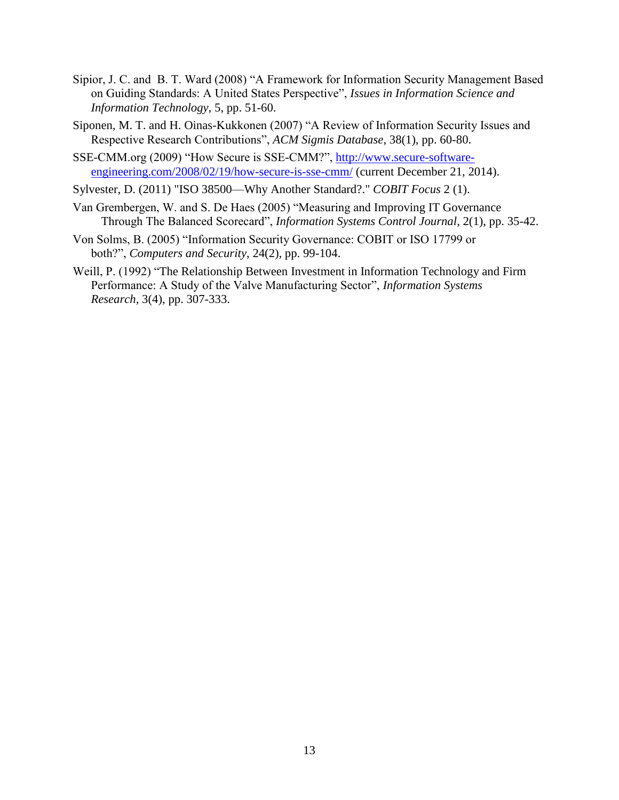- Sipior, J. C. and B. T. Ward (2008) "A Framework for Information Security Management Based on Guiding Standards: A United States Perspective", *Issues in Information Science and Information Technology*, 5, pp. 51-60.
- Siponen, M. T. and H. Oinas-Kukkonen (2007) "A Review of Information Security Issues and Respective Research Contributions", *ACM Sigmis Database*, 38(1), pp. 60-80.
- SSE-CMM.org (2009) "How Secure is SSE-CMM?", [http://www.secure-software](http://www.secure-software-engineering.com/2008/02/19/how-secure-is-sse-cmm/)[engineering.com/2008/02/19/how-secure-is-sse-cmm/](http://www.secure-software-engineering.com/2008/02/19/how-secure-is-sse-cmm/) (current December 21, 2014).
- Sylvester, D. (2011) "ISO 38500—Why Another Standard?." *COBIT Focus* 2 (1).
- Van Grembergen, W. and S. De Haes (2005) "Measuring and Improving IT Governance Through The Balanced Scorecard", *Information Systems Control Journal*, 2(1), pp. 35-42.
- Von Solms, B. (2005) "Information Security Governance: COBIT or ISO 17799 or both?", *Computers and Security*, 24(2), pp. 99-104.
- Weill, P. (1992) "The Relationship Between Investment in Information Technology and Firm Performance: A Study of the Valve Manufacturing Sector", *Information Systems Research*, 3(4), pp. 307-333.